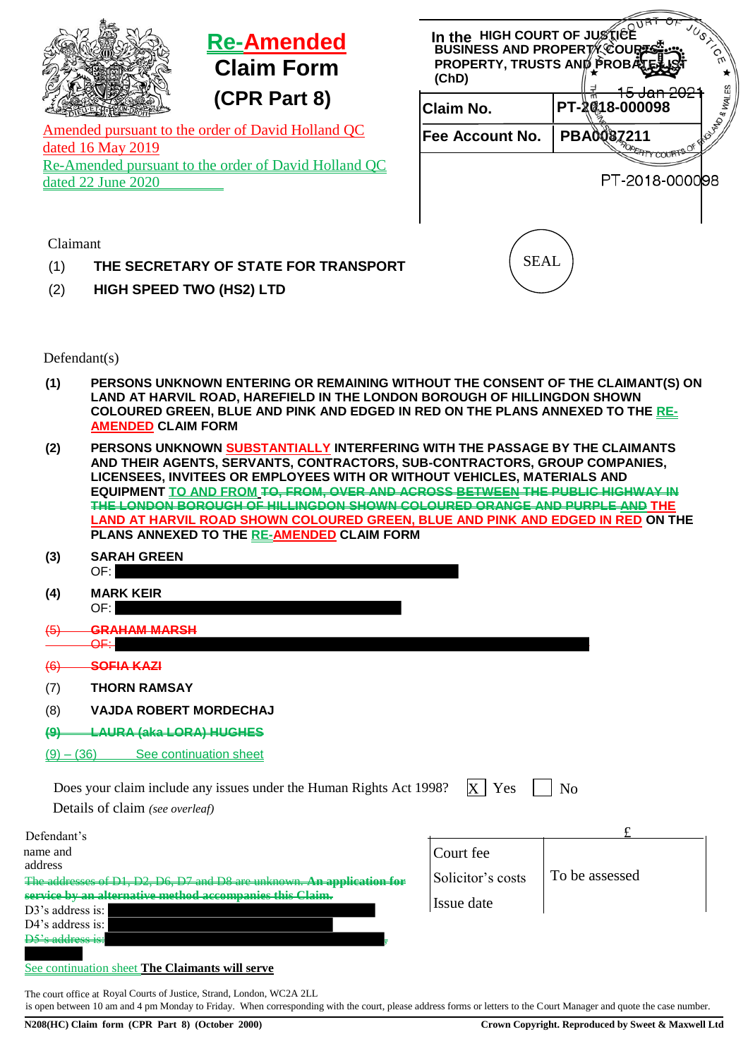|                                                                            | <b>Re-Amended</b><br><b>Claim Form</b> |                                                   | In the HIGH COURT OF JUSTICE<br><b>BUSINESS AND PROPERTY COURES</b><br>PROPERTY, TRUSTS AND PROBATE<br>(ChD) |                |  |  |
|----------------------------------------------------------------------------|----------------------------------------|---------------------------------------------------|--------------------------------------------------------------------------------------------------------------|----------------|--|--|
|                                                                            |                                        | (CPR Part 8)                                      | Claim No.                                                                                                    | PT-2G18-000098 |  |  |
|                                                                            | dated 16 May 2019                      | Amended pursuant to the order of David Holland QC | <b>Fee Account No.</b>                                                                                       | PBA0087211     |  |  |
| Re-Amended pursuant to the order of David Holland QC<br>dated 22 June 2020 |                                        |                                                   |                                                                                                              |                |  |  |
|                                                                            |                                        |                                                   |                                                                                                              | PT-2018-000098 |  |  |
|                                                                            |                                        |                                                   |                                                                                                              |                |  |  |
| Claimant                                                                   |                                        |                                                   |                                                                                                              |                |  |  |
| (1)                                                                        |                                        | THE SECRETARY OF STATE FOR TRANSPORT              | <b>SEAL</b>                                                                                                  |                |  |  |
| (2)                                                                        |                                        | <b>HIGH SPEED TWO (HS2) LTD</b>                   |                                                                                                              |                |  |  |

Defendant(s)

- **(1) PERSONS UNKNOWN ENTERING OR REMAINING WITHOUT THE CONSENT OF THE CLAIMANT(S) ON LAND AT HARVIL ROAD, HAREFIELD IN THE LONDON BOROUGH OF HILLINGDON SHOWN COLOURED GREEN, BLUE AND PINK AND EDGED IN RED ON THE PLANS ANNEXED TO THE RE-AMENDED CLAIM FORM**
- **(2) PERSONS UNKNOWN SUBSTANTIALLY INTERFERING WITH THE PASSAGE BY THE CLAIMANTS AND THEIR AGENTS, SERVANTS, CONTRACTORS, SUB-CONTRACTORS, GROUP COMPANIES, LICENSEES, INVITEES OR EMPLOYEES WITH OR WITHOUT VEHICLES, MATERIALS AND EQUIPMENT TO AND FROM TO, FROM, OVER AND ACROSS BETWEEN THE PUBLIC HIGHWAY IN THE LONDON BOROUGH OF HILLINGDON SHOWN COLOURED ORANGE AND PURPLE AND THE LAND AT HARVIL ROAD SHOWN COLOURED GREEN, BLUE AND PINK AND EDGED IN RED ON THE PLANS ANNEXED TO THE RE-AMENDED CLAIM FORM**
- **(3) SARAH GREEN** OF:
- **(4) MARK KEIR** OF:
- (5) **GRAHAM MARSH** OF:
- (6) **SOFIA KAZI**
- (7) **THORN RAMSAY**
- (8) **VAJDA ROBERT MORDECHAJ**
- **(9) LAURA (aka LORA) HUGHES**
- $(9) (36)$  See continuation sheet

| Does your claim include any issues under the Human Rights Act 1998? $\ X\ $ Yes | $\overline{\phantom{a}}$ No |  |
|---------------------------------------------------------------------------------|-----------------------------|--|
| Details of claim (see overleaf)                                                 |                             |  |
| Defendant's                                                                     |                             |  |

| name and<br>address                                                | Court fee         |                |
|--------------------------------------------------------------------|-------------------|----------------|
| The eddresses of D1 D2 D6 D7 and D9 are unknown An application for | Solicitor's costs | To be assessed |
| <del>service by an a</del><br>tivo mothod aggamnaniga this Claim   |                   |                |
| $D3$ 's address is:                                                | Issue date        |                |
| D4's address is:                                                   |                   |                |
| <del>D5's address is:</del>                                        |                   |                |

## See continuation sheet **The Claimants will serve**

The court office at Royal Courts of Justice, Strand, London, WC2A 2LL is open between 10 am and 4 pm Monday to Friday. When corresponding with the court, please address forms or letters to the Court Manager and quote the case number.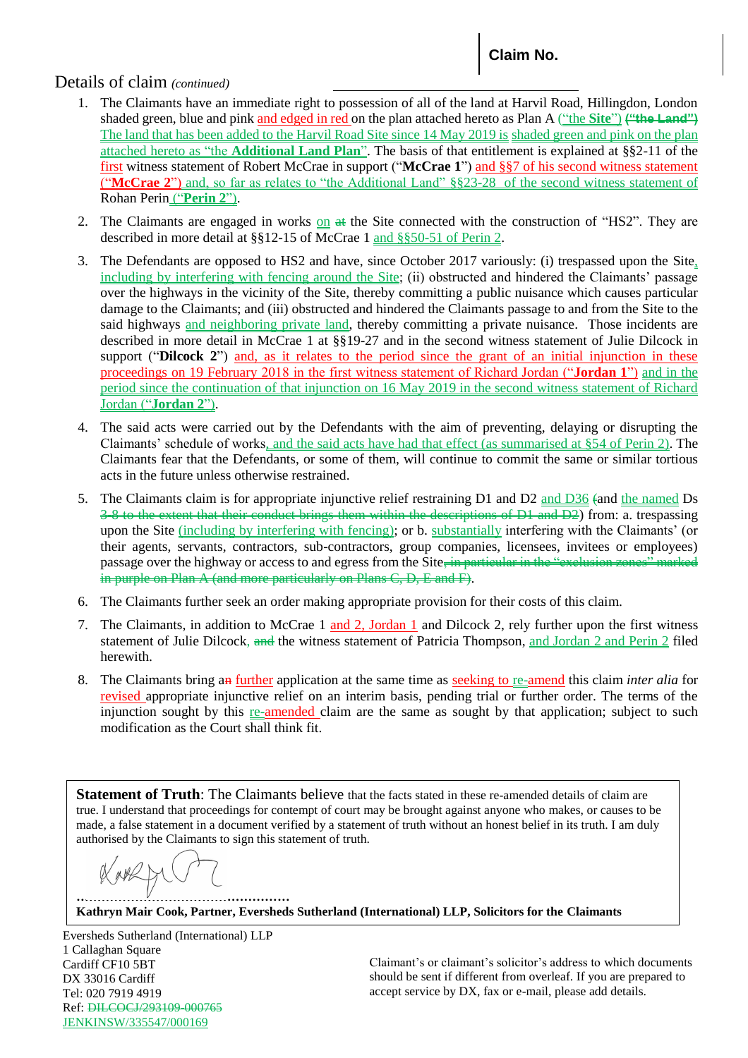## Details of claim *(continued)*

- 1. The Claimants have an immediate right to possession of all of the land at Harvil Road, Hillingdon, London shaded green, blue and pink and edged in red on the plan attached hereto as Plan A ("the **Site**") ("the Land") The land that has been added to the Harvil Road Site since 14 May 2019 is shaded green and pink on the plan attached hereto as "the **Additional Land Plan**". The basis of that entitlement is explained at §§2-11 of the first witness statement of Robert McCrae in support ("**McCrae 1**") and §§7 of his second witness statement ("**McCrae 2**") and, so far as relates to "the Additional Land" §§23-28 of the second witness statement of Rohan Perin ("**Perin 2**").
- 2. The Claimants are engaged in works on  $\#$  the Site connected with the construction of "HS2". They are described in more detail at §§12-15 of McCrae 1 and §§50-51 of Perin 2.
- 3. The Defendants are opposed to HS2 and have, since October 2017 variously: (i) trespassed upon the Site, including by interfering with fencing around the Site; (ii) obstructed and hindered the Claimants' passage over the highways in the vicinity of the Site, thereby committing a public nuisance which causes particular damage to the Claimants; and (iii) obstructed and hindered the Claimants passage to and from the Site to the said highways and neighboring private land, thereby committing a private nuisance. Those incidents are described in more detail in McCrae 1 at §§19-27 and in the second witness statement of Julie Dilcock in support ("**Dilcock 2**") and, as it relates to the period since the grant of an initial injunction in these proceedings on 19 February 2018 in the first witness statement of Richard Jordan ("**Jordan 1**") and in the period since the continuation of that injunction on 16 May 2019 in the second witness statement of Richard Jordan ("**Jordan 2**").
- 4. The said acts were carried out by the Defendants with the aim of preventing, delaying or disrupting the Claimants' schedule of works, and the said acts have had that effect (as summarised at §54 of Perin 2). The Claimants fear that the Defendants, or some of them, will continue to commit the same or similar tortious acts in the future unless otherwise restrained.
- 5. The Claimants claim is for appropriate injunctive relief restraining D1 and D2 and D36 (and the named Ds 3-8 to the extent that their conduct brings them within the descriptions of D1 and D2) from: a. trespassing upon the Site (including by interfering with fencing); or b. substantially interfering with the Claimants' (or their agents, servants, contractors, sub-contractors, group companies, licensees, invitees or employees) passage over the highway or access to and egress from the Site, in particular in the "exclusion zones" marked in purple on Plan A (and more particularly on Plans C, D, E and F).
- 6. The Claimants further seek an order making appropriate provision for their costs of this claim.
- 7. The Claimants, in addition to McCrae 1 and 2, Jordan 1 and Dilcock 2, rely further upon the first witness statement of Julie Dilcock, and the witness statement of Patricia Thompson, and Jordan 2 and Perin 2 filed herewith.
- 8. The Claimants bring an further application at the same time as seeking to re-amend this claim *inter alia* for revised appropriate injunctive relief on an interim basis, pending trial or further order. The terms of the injunction sought by this re-amended claim are the same as sought by that application; subject to such modification as the Court shall think fit.

**Statement of Truth**: The Claimants believe that the facts stated in these re-amended details of claim are true. I understand that proceedings for contempt of court may be brought against anyone who makes, or causes to be made, a false statement in a document verified by a statement of truth without an honest belief in its truth. I am duly authorised by the Claimants to sign this statement of truth.

**……………………………………………**

**Kathryn Mair Cook, Partner, Eversheds Sutherland (International) LLP, Solicitors for the Claimants**

Eversheds Sutherland (International) LLP 1 Callaghan Square Cardiff CF10 5BT DX 33016 Cardiff Tel: 020 7919 4919 Ref: DILCOCJ/293109-000765 JENKINSW/335547/000169

Claimant's or claimant's solicitor's address to which documents should be sent if different from overleaf. If you are prepared to accept service by DX, fax or e-mail, please add details.